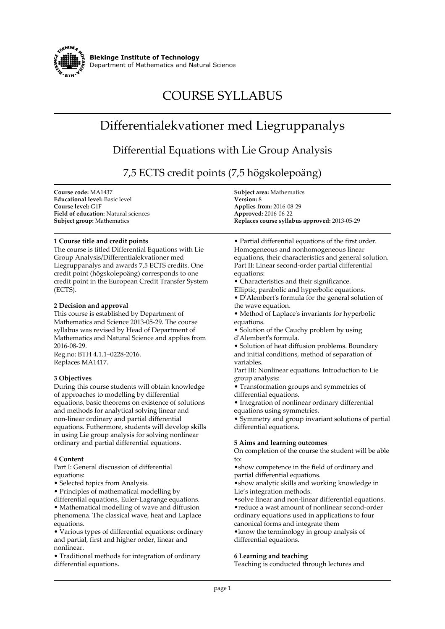

**Blekinge Institute of Technology Department of Mathematics and Natural Science**

# **COURSE SYLLABUS**

# **Differentialekvationer med Liegruppanalys**

# **Differential Equations with Lie Group Analysis**

**7,5 ECTS credit points (7,5 högskolepoäng)**

| Course code: MA1437                         | <b>Subject area:</b> Mathematics              |
|---------------------------------------------|-----------------------------------------------|
| <b>Educational level:</b> Basic level       | <b>Version: 8</b>                             |
| Course level: G1F                           | <b>Applies from: 2016-08-29</b>               |
| <b>Field of education:</b> Natural sciences | <b>Approved: 2016-06-22</b>                   |
| <b>Subject group:</b> Mathematics           | Replaces course syllabus approved: 2013-05-29 |

# **1 Course title and credit points**

**The course is titled Differential Equations with Lie Group Analysis/Differentialekvationer med Liegruppanalys and awards 7,5 ECTS credits. One credit point (högskolepoäng) corresponds to one credit point in the European Credit Transfer System (ECTS).**

#### **2 Decision and approval**

**This course is established by Department of Mathematics and Science 2013-05-29. The course syllabus was revised by Head of Department of Mathematics and Natural Science and applies from 2016-08-29.**

**Reg.no: BTH 4.1.1–0228-2016. Replaces MA1417.**

# **3 Objectives**

**During this course students will obtain knowledge of approaches to modelling by differential equations, basic theorems on existence of solutions and methods for analytical solving linear and non-linear ordinary and partial differential equations. Futhermore, students will develop skills in using Lie group analysis for solving nonlinear ordinary and partial differential equations.**

#### **4 Content**

**Part I: General discussion of differential equations:**

**• Selected topics from Analysis.**

**• Principles of mathematical modelling by**

**differential equations, Euler-Lagrange equations. • Mathematical modelling of wave and diffusion phenomena. The classical wave, heat and Laplace equations.**

**• Various types of differential equations: ordinary and partial, first and higher order, linear and nonlinear.**

**• Traditional methods for integration of ordinary differential equations.**

**• Partial differential equations of the first order. Homogeneous and nonhomogeneous linear equations, their characteristics and general solution. Part II: Linear second-order partial differential equations:**

**• Characteristics and their significance.**

**Elliptic, parabolic and hyperbolic equations. • D'Alembert's formula for the general solution of the wave equation.**

- **Method of Laplace's invariants for hyperbolic equations.**
- **Solution of the Cauchy problem by using d'Alembert's formula.**

**• Solution of heat diffusion problems. Boundary and initial conditions, method of separation of variables.**

**Part III: Nonlinear equations. Introduction to Lie group analysis:**

**• Transformation groups and symmetries of differential equations.**

**• Integration of nonlinear ordinary differential equations using symmetries.**

**• Symmetry and group invariant solutions of partial differential equations.**

# **5 Aims and learning outcomes**

**On completion of the course the student will be able to:**

**•show competence in the field of ordinary and partial differential equations.**

**•show analytic skills and working knowledge in Lie's integration methods.**

**•solve linear and non-linear differential equations. •reduce a wast amount of nonlinear second-order ordinary equations used in applications to four canonical forms and integrate them •know the terminology in group analysis of differential equations.**

# **6 Learning and teaching**

**Teaching is conducted through lectures and**